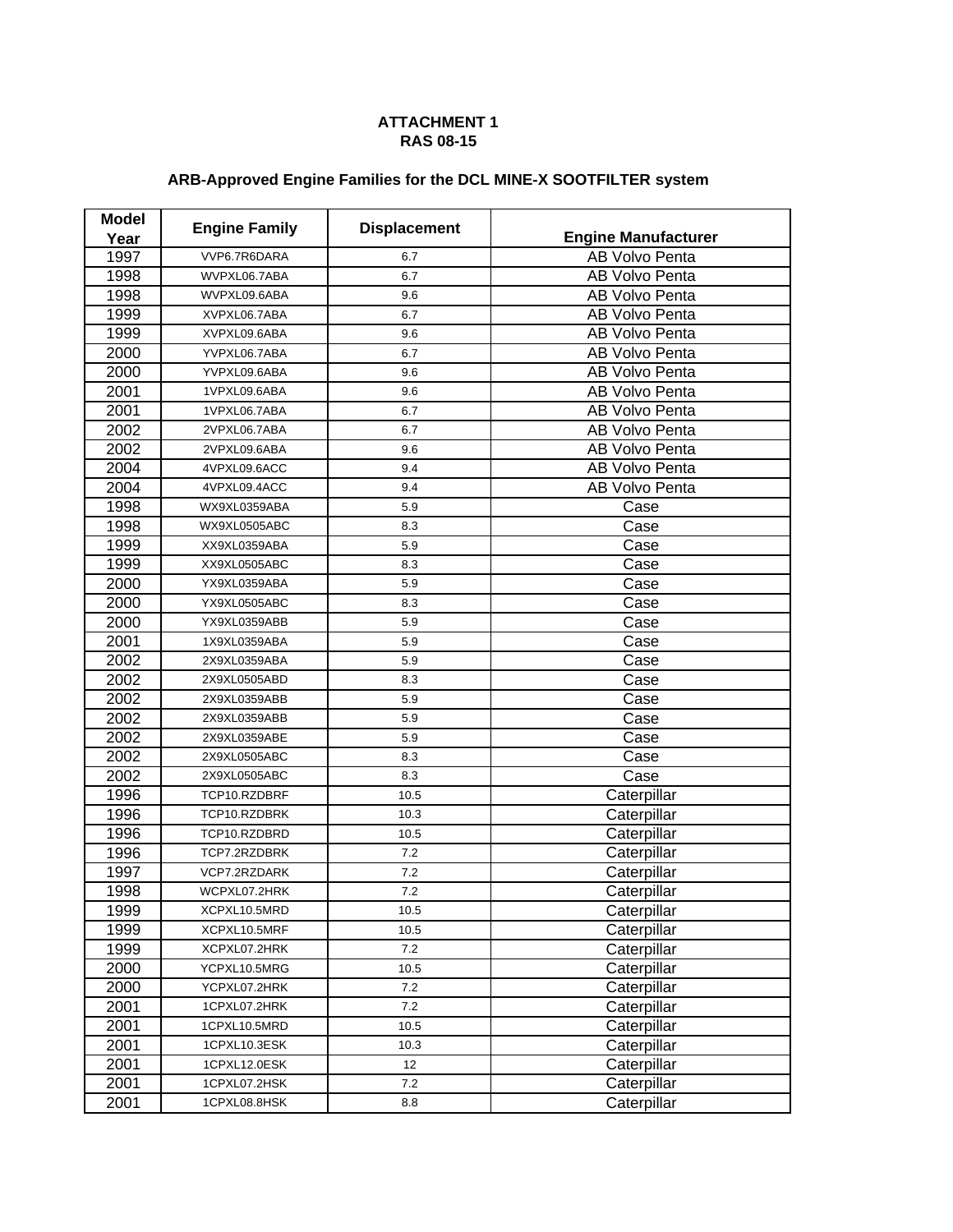## **ATTACHMENT 1 RAS 08-15**

## **ARB-Approved Engine Families for the DCL MINE-X SOOTFILTER system**

| <b>Model</b> |                      |                     |                            |
|--------------|----------------------|---------------------|----------------------------|
| Year         | <b>Engine Family</b> | <b>Displacement</b> | <b>Engine Manufacturer</b> |
| 1997         | VVP6.7R6DARA         | 6.7                 | AB Volvo Penta             |
| 1998         | WVPXL06.7ABA         | 6.7                 | AB Volvo Penta             |
| 1998         | WVPXL09.6ABA         | 9.6                 | AB Volvo Penta             |
| 1999         | XVPXL06.7ABA         | 6.7                 | AB Volvo Penta             |
| 1999         | XVPXL09.6ABA         | 9.6                 | <b>AB Volvo Penta</b>      |
| 2000         | YVPXL06.7ABA         | 6.7                 | <b>AB Volvo Penta</b>      |
| 2000         | YVPXL09.6ABA         | 9.6                 | AB Volvo Penta             |
| 2001         | 1VPXL09.6ABA         | 9.6                 | AB Volvo Penta             |
| 2001         | 1VPXL06.7ABA         | 6.7                 | AB Volvo Penta             |
| 2002         | 2VPXL06.7ABA         | 6.7                 | <b>AB Volvo Penta</b>      |
| 2002         | 2VPXL09.6ABA         | 9.6                 | AB Volvo Penta             |
| 2004         | 4VPXL09.6ACC         | 9.4                 | AB Volvo Penta             |
| 2004         | 4VPXL09.4ACC         | 9.4                 | <b>AB Volvo Penta</b>      |
| 1998         | WX9XL0359ABA         | 5.9                 | Case                       |
| 1998         | WX9XL0505ABC         | 8.3                 | Case                       |
| 1999         | XX9XL0359ABA         | 5.9                 | Case                       |
| 1999         | XX9XL0505ABC         | 8.3                 | Case                       |
| 2000         | YX9XL0359ABA         | 5.9                 | Case                       |
| 2000         | YX9XL0505ABC         | 8.3                 | Case                       |
| 2000         | YX9XL0359ABB         | 5.9                 | Case                       |
| 2001         | 1X9XL0359ABA         | 5.9                 | Case                       |
| 2002         | 2X9XL0359ABA         | 5.9                 | Case                       |
| 2002         | 2X9XL0505ABD         | 8.3                 | Case                       |
| 2002         | 2X9XL0359ABB         | 5.9                 | Case                       |
| 2002         | 2X9XL0359ABB         | 5.9                 | Case                       |
| 2002         | 2X9XL0359ABE         | 5.9                 | Case                       |
| 2002         | 2X9XL0505ABC         | 8.3                 | Case                       |
| 2002         | 2X9XL0505ABC         | 8.3                 | Case                       |
| 1996         | TCP10.RZDBRF         | 10.5                | Caterpillar                |
| 1996         | TCP10.RZDBRK         | 10.3                | Caterpillar                |
| 1996         | TCP10.RZDBRD         | 10.5                | Caterpillar                |
| 1996         | TCP7.2RZDBRK         | 7.2                 | Caterpillar                |
| 1997         | VCP7.2RZDARK         | 7.2                 | Caterpillar                |
| 1998         | WCPXL07.2HRK         | 7.2                 | Caterpillar                |
| 1999         | XCPXL10.5MRD         | 10.5                | Caterpillar                |
| 1999         | XCPXL10.5MRF         | 10.5                | Caterpillar                |
| 1999         | XCPXL07.2HRK         | 7.2                 | Caterpillar                |
| 2000         | YCPXL10.5MRG         | 10.5                | Caterpillar                |
| 2000         | YCPXL07.2HRK         | $7.2\,$             | Caterpillar                |
| 2001         | 1CPXL07.2HRK         | 7.2                 | Caterpillar                |
| 2001         | 1CPXL10.5MRD         | 10.5                | Caterpillar                |
| 2001         | 1CPXL10.3ESK         | 10.3                | Caterpillar                |
| 2001         | 1CPXL12.0ESK         | 12                  | Caterpillar                |
| 2001         | 1CPXL07.2HSK         | 7.2                 | Caterpillar                |
| 2001         | 1CPXL08.8HSK         | $\bf 8.8$           | Caterpillar                |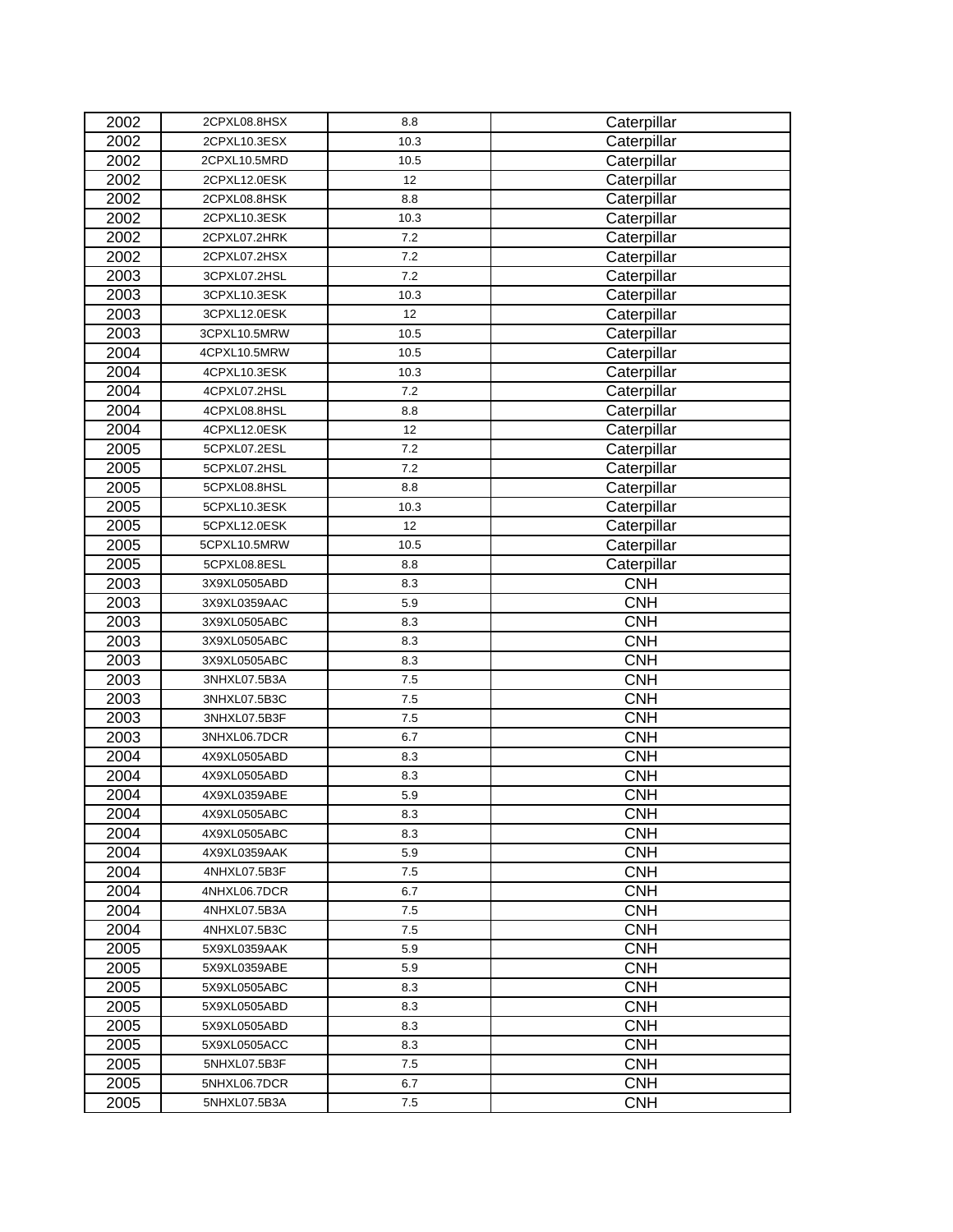| 2002 | 2CPXL08.8HSX | 8.8  | Caterpillar |
|------|--------------|------|-------------|
| 2002 | 2CPXL10.3ESX | 10.3 | Caterpillar |
| 2002 | 2CPXL10.5MRD | 10.5 | Caterpillar |
| 2002 | 2CPXL12.0ESK | 12   | Caterpillar |
| 2002 | 2CPXL08.8HSK | 8.8  | Caterpillar |
| 2002 | 2CPXL10.3ESK | 10.3 | Caterpillar |
| 2002 | 2CPXL07.2HRK | 7.2  | Caterpillar |
| 2002 | 2CPXL07.2HSX | 7.2  | Caterpillar |
| 2003 | 3CPXL07.2HSL | 7.2  | Caterpillar |
| 2003 | 3CPXL10.3ESK | 10.3 | Caterpillar |
| 2003 | 3CPXL12.0ESK | 12   | Caterpillar |
| 2003 | 3CPXL10.5MRW | 10.5 | Caterpillar |
| 2004 | 4CPXL10.5MRW | 10.5 | Caterpillar |
| 2004 | 4CPXL10.3ESK | 10.3 | Caterpillar |
| 2004 | 4CPXL07.2HSL | 7.2  | Caterpillar |
| 2004 | 4CPXL08.8HSL | 8.8  | Caterpillar |
| 2004 | 4CPXL12.0ESK | 12   | Caterpillar |
| 2005 | 5CPXL07.2ESL | 7.2  | Caterpillar |
| 2005 | 5CPXL07.2HSL | 7.2  | Caterpillar |
| 2005 | 5CPXL08.8HSL | 8.8  | Caterpillar |
| 2005 | 5CPXL10.3ESK | 10.3 | Caterpillar |
| 2005 | 5CPXL12.0ESK | 12   | Caterpillar |
| 2005 | 5CPXL10.5MRW | 10.5 | Caterpillar |
| 2005 | 5CPXL08.8ESL | 8.8  | Caterpillar |
| 2003 | 3X9XL0505ABD | 8.3  | <b>CNH</b>  |
| 2003 | 3X9XL0359AAC | 5.9  | <b>CNH</b>  |
| 2003 | 3X9XL0505ABC | 8.3  | <b>CNH</b>  |
| 2003 | 3X9XL0505ABC | 8.3  | <b>CNH</b>  |
| 2003 | 3X9XL0505ABC | 8.3  | <b>CNH</b>  |
| 2003 | 3NHXL07.5B3A | 7.5  | <b>CNH</b>  |
| 2003 | 3NHXL07.5B3C | 7.5  | <b>CNH</b>  |
| 2003 | 3NHXL07.5B3F | 7.5  | <b>CNH</b>  |
| 2003 | 3NHXL06.7DCR | 6.7  | <b>CNH</b>  |
| 2004 | 4X9XL0505ABD | 8.3  | <b>CNH</b>  |
| 2004 | 4X9XL0505ABD | 8.3  | <b>CNH</b>  |
| 2004 | 4X9XL0359ABE | 5.9  | <b>CNH</b>  |
| 2004 | 4X9XL0505ABC | 8.3  | <b>CNH</b>  |
| 2004 | 4X9XL0505ABC | 8.3  | <b>CNH</b>  |
| 2004 | 4X9XL0359AAK | 5.9  | <b>CNH</b>  |
| 2004 | 4NHXL07.5B3F | 7.5  | <b>CNH</b>  |
| 2004 | 4NHXL06.7DCR | 6.7  | <b>CNH</b>  |
| 2004 | 4NHXL07.5B3A | 7.5  | <b>CNH</b>  |
| 2004 | 4NHXL07.5B3C | 7.5  | <b>CNH</b>  |
| 2005 | 5X9XL0359AAK | 5.9  | <b>CNH</b>  |
| 2005 | 5X9XL0359ABE | 5.9  | <b>CNH</b>  |
| 2005 | 5X9XL0505ABC | 8.3  | <b>CNH</b>  |
| 2005 | 5X9XL0505ABD | 8.3  | <b>CNH</b>  |
| 2005 | 5X9XL0505ABD | 8.3  | <b>CNH</b>  |
| 2005 | 5X9XL0505ACC | 8.3  | <b>CNH</b>  |
| 2005 | 5NHXL07.5B3F | 7.5  | <b>CNH</b>  |
| 2005 | 5NHXL06.7DCR | 6.7  | <b>CNH</b>  |
| 2005 | 5NHXL07.5B3A | 7.5  | <b>CNH</b>  |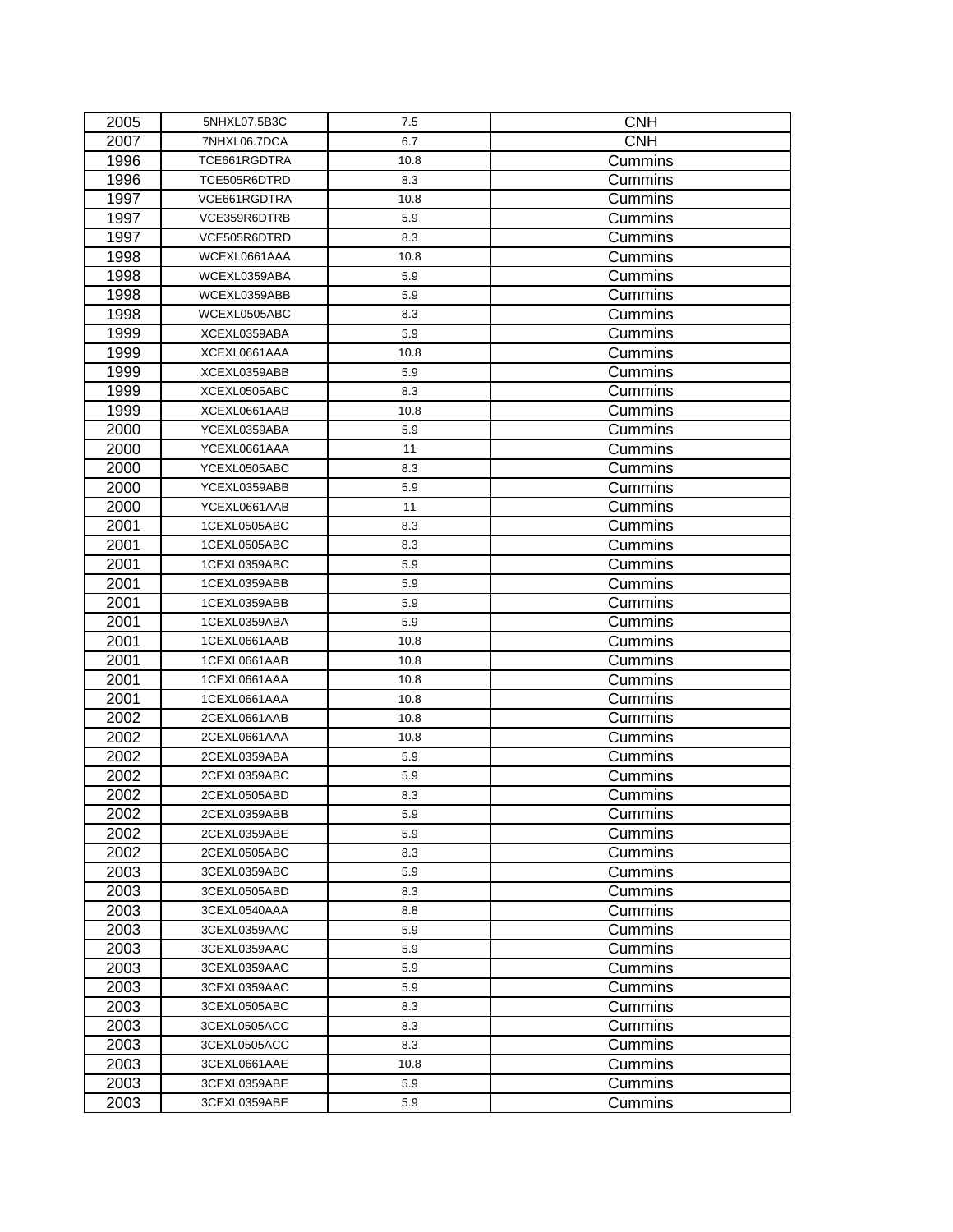| 2005 | 5NHXL07.5B3C | 7.5  | <b>CNH</b>     |
|------|--------------|------|----------------|
| 2007 | 7NHXL06.7DCA | 6.7  | <b>CNH</b>     |
| 1996 | TCE661RGDTRA | 10.8 | Cummins        |
| 1996 | TCE505R6DTRD | 8.3  | Cummins        |
| 1997 | VCE661RGDTRA | 10.8 | Cummins        |
| 1997 | VCE359R6DTRB | 5.9  | Cummins        |
| 1997 | VCE505R6DTRD | 8.3  | Cummins        |
| 1998 | WCEXL0661AAA | 10.8 | Cummins        |
| 1998 | WCEXL0359ABA | 5.9  | Cummins        |
| 1998 | WCEXL0359ABB | 5.9  | Cummins        |
| 1998 | WCEXL0505ABC | 8.3  | Cummins        |
| 1999 | XCEXL0359ABA | 5.9  | Cummins        |
| 1999 | XCEXL0661AAA | 10.8 | Cummins        |
| 1999 | XCEXL0359ABB | 5.9  | Cummins        |
| 1999 | XCEXL0505ABC | 8.3  | Cummins        |
| 1999 | XCEXL0661AAB | 10.8 | Cummins        |
| 2000 | YCEXL0359ABA | 5.9  | Cummins        |
| 2000 | YCEXL0661AAA | 11   | Cummins        |
| 2000 | YCEXL0505ABC | 8.3  | Cummins        |
| 2000 | YCEXL0359ABB | 5.9  | Cummins        |
| 2000 | YCEXL0661AAB | 11   | Cummins        |
| 2001 | 1CEXL0505ABC | 8.3  | Cummins        |
| 2001 | 1CEXL0505ABC | 8.3  | Cummins        |
| 2001 | 1CEXL0359ABC | 5.9  | Cummins        |
| 2001 | 1CEXL0359ABB | 5.9  | Cummins        |
| 2001 | 1CEXL0359ABB | 5.9  | Cummins        |
| 2001 | 1CEXL0359ABA | 5.9  | Cummins        |
| 2001 | 1CEXL0661AAB | 10.8 | Cummins        |
| 2001 | 1CEXL0661AAB | 10.8 | Cummins        |
| 2001 | 1CEXL0661AAA | 10.8 | Cummins        |
| 2001 | 1CEXL0661AAA | 10.8 | Cummins        |
| 2002 | 2CEXL0661AAB | 10.8 | Cummins        |
| 2002 | 2CEXL0661AAA | 10.8 | Cummins        |
| 2002 | 2CEXL0359ABA | 5.9  | Cummins        |
| 2002 | 2CEXL0359ABC | 5.9  | Cummins        |
| 2002 | 2CEXL0505ABD | 8.3  | Cummins        |
| 2002 | 2CEXL0359ABB | 5.9  | Cummins        |
| 2002 | 2CEXL0359ABE | 5.9  | Cummins        |
| 2002 | 2CEXL0505ABC | 8.3  | Cummins        |
| 2003 | 3CEXL0359ABC | 5.9  | Cummins        |
| 2003 | 3CEXL0505ABD | 8.3  | Cummins        |
| 2003 | 3CEXL0540AAA | 8.8  | <b>Cummins</b> |
| 2003 | 3CEXL0359AAC | 5.9  | Cummins        |
| 2003 | 3CEXL0359AAC | 5.9  | Cummins        |
| 2003 | 3CEXL0359AAC | 5.9  | Cummins        |
| 2003 | 3CEXL0359AAC | 5.9  | Cummins        |
| 2003 | 3CEXL0505ABC | 8.3  | Cummins        |
| 2003 | 3CEXL0505ACC | 8.3  | Cummins        |
| 2003 | 3CEXL0505ACC | 8.3  | Cummins        |
| 2003 | 3CEXL0661AAE | 10.8 | Cummins        |
| 2003 | 3CEXL0359ABE | 5.9  | Cummins        |
| 2003 | 3CEXL0359ABE | 5.9  | Cummins        |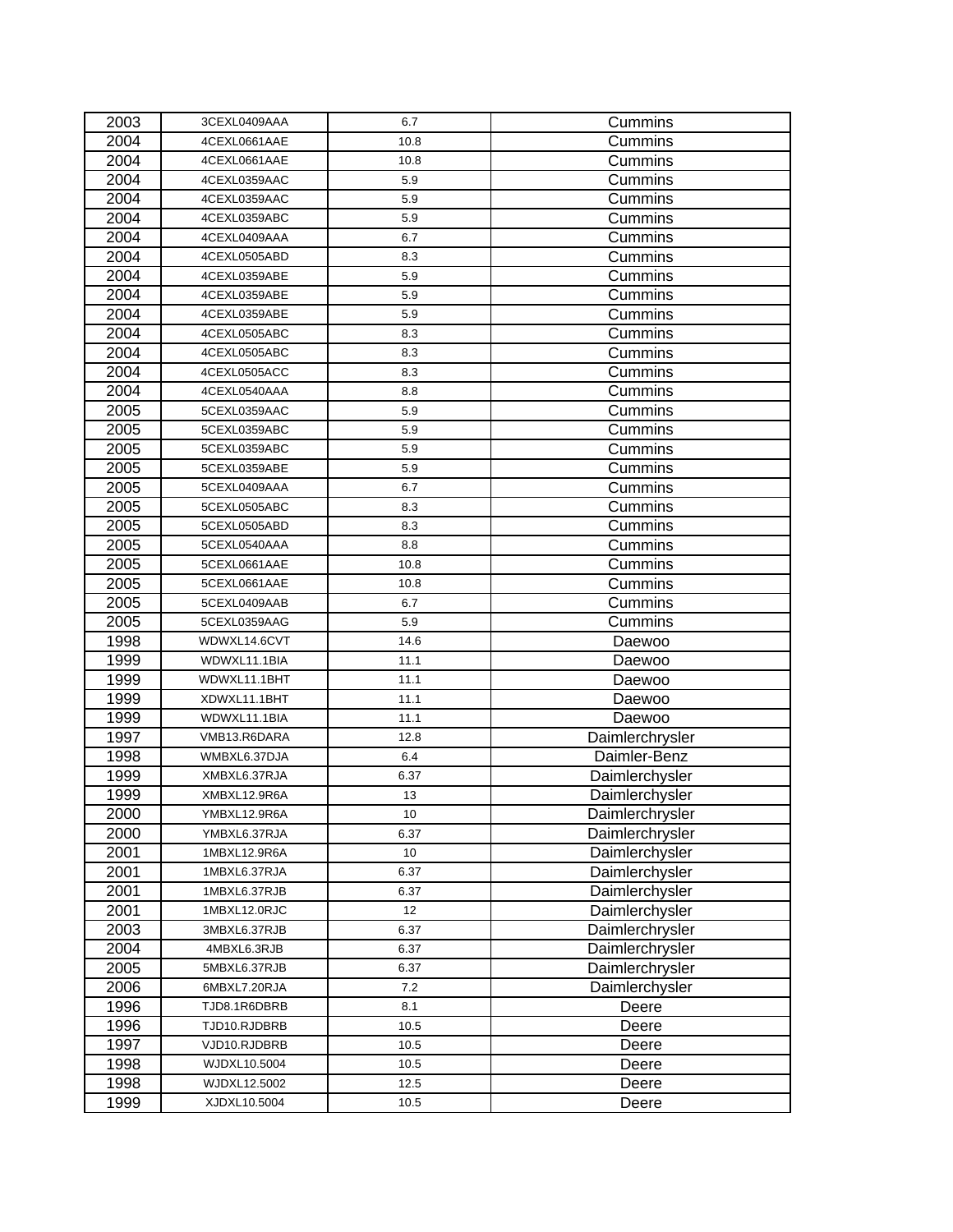| 2003 | 3CEXL0409AAA | 6.7  | Cummins         |
|------|--------------|------|-----------------|
| 2004 | 4CEXL0661AAE | 10.8 | Cummins         |
| 2004 | 4CEXL0661AAE | 10.8 | Cummins         |
| 2004 | 4CEXL0359AAC | 5.9  | Cummins         |
| 2004 | 4CEXL0359AAC | 5.9  | Cummins         |
| 2004 | 4CEXL0359ABC | 5.9  | Cummins         |
| 2004 | 4CEXL0409AAA | 6.7  | Cummins         |
| 2004 | 4CEXL0505ABD | 8.3  | Cummins         |
| 2004 | 4CEXL0359ABE | 5.9  | Cummins         |
| 2004 | 4CEXL0359ABE | 5.9  | Cummins         |
| 2004 | 4CEXL0359ABE | 5.9  | Cummins         |
| 2004 | 4CEXL0505ABC | 8.3  | Cummins         |
| 2004 | 4CEXL0505ABC | 8.3  | Cummins         |
| 2004 | 4CEXL0505ACC | 8.3  | Cummins         |
| 2004 | 4CEXL0540AAA | 8.8  | Cummins         |
| 2005 | 5CEXL0359AAC | 5.9  | Cummins         |
| 2005 | 5CEXL0359ABC | 5.9  | Cummins         |
| 2005 | 5CEXL0359ABC | 5.9  | Cummins         |
| 2005 | 5CEXL0359ABE | 5.9  | Cummins         |
| 2005 | 5CEXL0409AAA | 6.7  | Cummins         |
| 2005 | 5CEXL0505ABC | 8.3  | Cummins         |
| 2005 | 5CEXL0505ABD | 8.3  | Cummins         |
| 2005 | 5CEXL0540AAA | 8.8  | Cummins         |
| 2005 | 5CEXL0661AAE | 10.8 | Cummins         |
| 2005 | 5CEXL0661AAE | 10.8 | Cummins         |
| 2005 | 5CEXL0409AAB | 6.7  | Cummins         |
| 2005 | 5CEXL0359AAG | 5.9  | Cummins         |
| 1998 | WDWXL14.6CVT | 14.6 | Daewoo          |
| 1999 | WDWXL11.1BIA | 11.1 | Daewoo          |
| 1999 | WDWXL11.1BHT | 11.1 | Daewoo          |
| 1999 | XDWXL11.1BHT | 11.1 | Daewoo          |
| 1999 | WDWXL11.1BIA | 11.1 | Daewoo          |
| 1997 | VMB13.R6DARA | 12.8 | Daimlerchrysler |
| 1998 | WMBXL6.37DJA | 6.4  | Daimler-Benz    |
| 1999 | XMBXL6.37RJA | 6.37 | Daimlerchysler  |
| 1999 | XMBXL12.9R6A | 13   | Daimlerchysler  |
| 2000 | YMBXL12.9R6A | 10   | Daimlerchrysler |
| 2000 | YMBXL6.37RJA | 6.37 | Daimlerchrysler |
| 2001 | 1MBXL12.9R6A | 10   | Daimlerchysler  |
| 2001 | 1MBXL6.37RJA | 6.37 | Daimlerchysler  |
| 2001 | 1MBXL6.37RJB | 6.37 | Daimlerchysler  |
| 2001 | 1MBXL12.0RJC | 12   | Daimlerchysler  |
| 2003 | 3MBXL6.37RJB | 6.37 | Daimlerchrysler |
| 2004 | 4MBXL6.3RJB  | 6.37 | Daimlerchrysler |
| 2005 | 5MBXL6.37RJB | 6.37 | Daimlerchrysler |
| 2006 | 6MBXL7.20RJA | 7.2  | Daimlerchysler  |
| 1996 | TJD8.1R6DBRB | 8.1  | Deere           |
| 1996 | TJD10.RJDBRB | 10.5 | Deere           |
| 1997 | VJD10.RJDBRB | 10.5 | Deere           |
| 1998 | WJDXL10.5004 | 10.5 | Deere           |
| 1998 | WJDXL12.5002 | 12.5 | Deere           |
| 1999 | XJDXL10.5004 | 10.5 | Deere           |
|      |              |      |                 |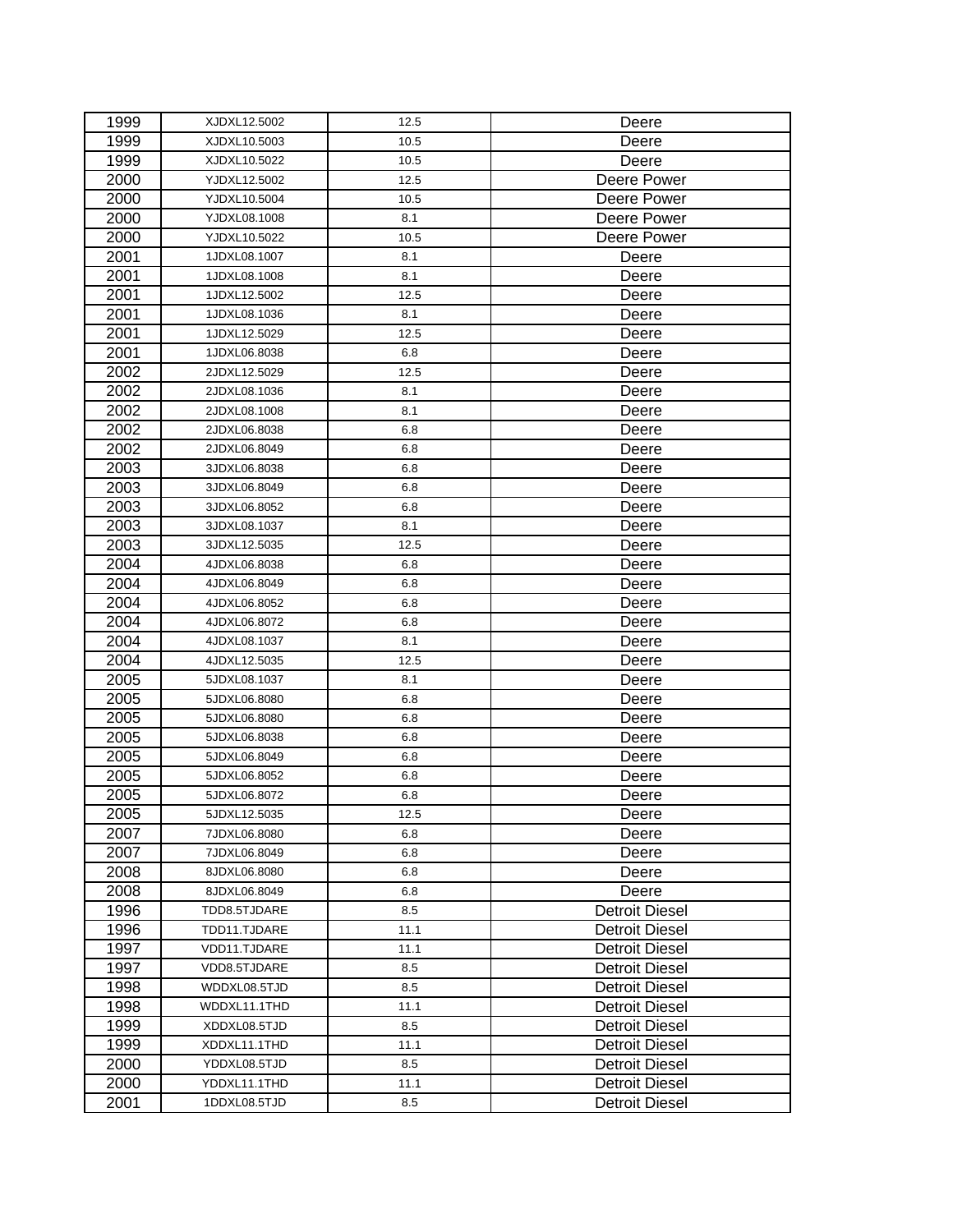| 1999 | XJDXL12.5002 | 12.5 | Deere                 |
|------|--------------|------|-----------------------|
| 1999 | XJDXL10.5003 | 10.5 | Deere                 |
| 1999 | XJDXL10.5022 | 10.5 | Deere                 |
| 2000 | YJDXL12.5002 | 12.5 | Deere Power           |
| 2000 | YJDXL10.5004 | 10.5 | Deere Power           |
| 2000 | YJDXL08.1008 | 8.1  | Deere Power           |
| 2000 | YJDXL10.5022 | 10.5 | Deere Power           |
| 2001 | 1JDXL08.1007 | 8.1  | Deere                 |
| 2001 | 1JDXL08.1008 | 8.1  | Deere                 |
| 2001 | 1JDXL12.5002 | 12.5 | Deere                 |
| 2001 | 1JDXL08.1036 | 8.1  | Deere                 |
| 2001 | 1JDXL12.5029 | 12.5 | Deere                 |
| 2001 | 1JDXL06.8038 | 6.8  | Deere                 |
| 2002 | 2JDXL12.5029 | 12.5 | Deere                 |
| 2002 | 2JDXL08.1036 | 8.1  | Deere                 |
| 2002 | 2JDXL08.1008 | 8.1  | Deere                 |
| 2002 | 2JDXL06.8038 | 6.8  | Deere                 |
| 2002 | 2JDXL06.8049 | 6.8  | Deere                 |
| 2003 | 3JDXL06.8038 | 6.8  | Deere                 |
| 2003 | 3JDXL06.8049 | 6.8  | Deere                 |
| 2003 | 3JDXL06.8052 | 6.8  | Deere                 |
| 2003 | 3JDXL08.1037 | 8.1  | Deere                 |
| 2003 | 3JDXL12.5035 | 12.5 | Deere                 |
| 2004 | 4JDXL06.8038 | 6.8  | Deere                 |
| 2004 | 4JDXL06.8049 | 6.8  | Deere                 |
| 2004 | 4JDXL06.8052 | 6.8  | Deere                 |
| 2004 | 4JDXL06.8072 | 6.8  | Deere                 |
| 2004 | 4JDXL08.1037 | 8.1  | Deere                 |
| 2004 | 4JDXL12.5035 | 12.5 | Deere                 |
| 2005 | 5JDXL08.1037 | 8.1  | Deere                 |
| 2005 | 5JDXL06.8080 | 6.8  | Deere                 |
| 2005 | 5JDXL06.8080 | 6.8  | Deere                 |
| 2005 | 5JDXL06.8038 | 6.8  | Deere                 |
| 2005 | 5JDXL06.8049 | 6.8  | Deere                 |
| 2005 | 5JDXL06.8052 | 6.8  | Deere                 |
| 2005 | 5JDXL06.8072 | 6.8  | Deere                 |
| 2005 | 5JDXL12.5035 | 12.5 | Deere                 |
| 2007 | 7JDXL06.8080 | 6.8  | Deere                 |
| 2007 | 7JDXL06.8049 | 6.8  | Deere                 |
| 2008 | 8JDXL06.8080 | 6.8  | Deere                 |
| 2008 | 8JDXL06.8049 | 6.8  | Deere                 |
| 1996 | TDD8.5TJDARE | 8.5  | <b>Detroit Diesel</b> |
| 1996 | TDD11.TJDARE | 11.1 | <b>Detroit Diesel</b> |
| 1997 | VDD11.TJDARE | 11.1 | <b>Detroit Diesel</b> |
| 1997 | VDD8.5TJDARE | 8.5  | <b>Detroit Diesel</b> |
| 1998 | WDDXL08.5TJD | 8.5  | Detroit Diesel        |
| 1998 | WDDXL11.1THD | 11.1 | Detroit Diesel        |
| 1999 | XDDXL08.5TJD | 8.5  | Detroit Diesel        |
| 1999 | XDDXL11.1THD | 11.1 | <b>Detroit Diesel</b> |
| 2000 | YDDXL08.5TJD | 8.5  | Detroit Diesel        |
| 2000 | YDDXL11.1THD | 11.1 | <b>Detroit Diesel</b> |
| 2001 | 1DDXL08.5TJD | 8.5  | <b>Detroit Diesel</b> |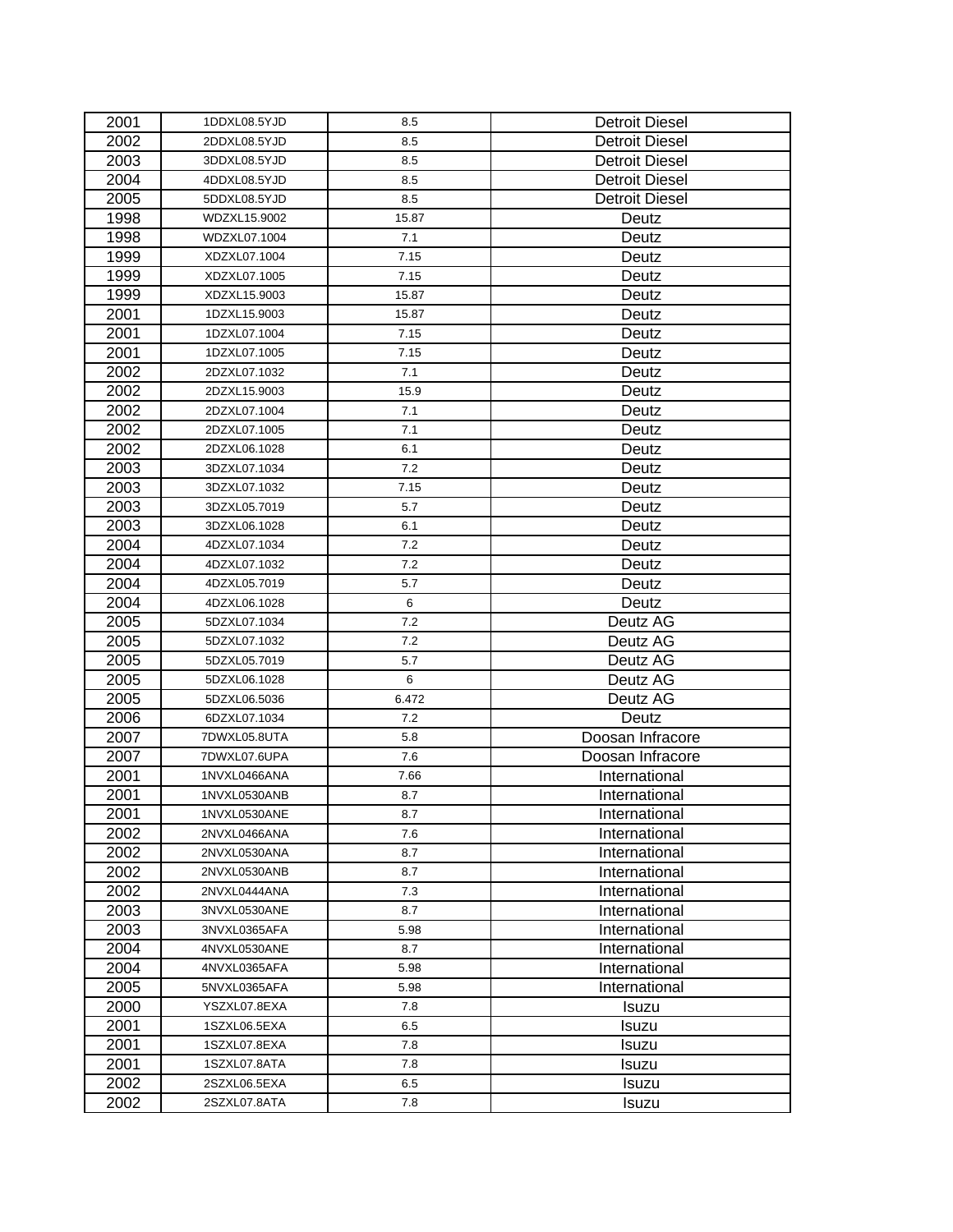| 2001 | 1DDXL08.5YJD | 8.5   | <b>Detroit Diesel</b> |
|------|--------------|-------|-----------------------|
| 2002 | 2DDXL08.5YJD | 8.5   | <b>Detroit Diesel</b> |
| 2003 | 3DDXL08.5YJD | 8.5   | Detroit Diesel        |
| 2004 | 4DDXL08.5YJD | 8.5   | <b>Detroit Diesel</b> |
| 2005 | 5DDXL08.5YJD | 8.5   | <b>Detroit Diesel</b> |
| 1998 | WDZXL15.9002 | 15.87 | Deutz                 |
| 1998 | WDZXL07.1004 | 7.1   | Deutz                 |
| 1999 | XDZXL07.1004 | 7.15  | Deutz                 |
| 1999 | XDZXL07.1005 | 7.15  | Deutz                 |
| 1999 | XDZXL15.9003 | 15.87 | Deutz                 |
| 2001 | 1DZXL15.9003 | 15.87 | Deutz                 |
| 2001 | 1DZXL07.1004 | 7.15  | Deutz                 |
| 2001 | 1DZXL07.1005 | 7.15  | Deutz                 |
| 2002 | 2DZXL07.1032 | 7.1   | Deutz                 |
| 2002 | 2DZXL15.9003 | 15.9  | Deutz                 |
| 2002 | 2DZXL07.1004 | 7.1   | Deutz                 |
| 2002 | 2DZXL07.1005 | 7.1   | Deutz                 |
| 2002 | 2DZXL06.1028 | 6.1   | Deutz                 |
| 2003 | 3DZXL07.1034 | 7.2   | Deutz                 |
| 2003 | 3DZXL07.1032 | 7.15  | Deutz                 |
| 2003 | 3DZXL05.7019 | 5.7   | Deutz                 |
| 2003 | 3DZXL06.1028 | 6.1   | Deutz                 |
| 2004 | 4DZXL07.1034 | 7.2   | Deutz                 |
| 2004 | 4DZXL07.1032 | 7.2   | Deutz                 |
| 2004 | 4DZXL05.7019 | 5.7   | Deutz                 |
| 2004 | 4DZXL06.1028 | 6     | Deutz                 |
| 2005 | 5DZXL07.1034 | 7.2   | Deutz AG              |
| 2005 | 5DZXL07.1032 | 7.2   | Deutz AG              |
| 2005 | 5DZXL05.7019 | 5.7   | Deutz AG              |
| 2005 | 5DZXL06.1028 | 6     | Deutz AG              |
| 2005 | 5DZXL06.5036 | 6.472 | Deutz AG              |
| 2006 | 6DZXL07.1034 | 7.2   | Deutz                 |
| 2007 | 7DWXL05.8UTA | 5.8   | Doosan Infracore      |
| 2007 | 7DWXL07.6UPA | 7.6   | Doosan Infracore      |
| 2001 | 1NVXL0466ANA | 7.66  | International         |
| 2001 | 1NVXL0530ANB | 8.7   | International         |
| 2001 | 1NVXL0530ANE | 8.7   | International         |
| 2002 | 2NVXL0466ANA | 7.6   | International         |
| 2002 | 2NVXL0530ANA | 8.7   | International         |
| 2002 | 2NVXL0530ANB | 8.7   | International         |
| 2002 | 2NVXL0444ANA | 7.3   | International         |
| 2003 | 3NVXL0530ANE | 8.7   | International         |
| 2003 | 3NVXL0365AFA | 5.98  | International         |
| 2004 | 4NVXL0530ANE | 8.7   | International         |
| 2004 | 4NVXL0365AFA | 5.98  | International         |
| 2005 | 5NVXL0365AFA | 5.98  | International         |
| 2000 | YSZXL07.8EXA | 7.8   | Isuzu                 |
| 2001 | 1SZXL06.5EXA | 6.5   | Isuzu                 |
| 2001 | 1SZXL07.8EXA | 7.8   | Isuzu                 |
| 2001 | 1SZXL07.8ATA | 7.8   | Isuzu                 |
| 2002 | 2SZXL06.5EXA | 6.5   | Isuzu                 |
| 2002 | 2SZXL07.8ATA | 7.8   | Isuzu                 |
|      |              |       |                       |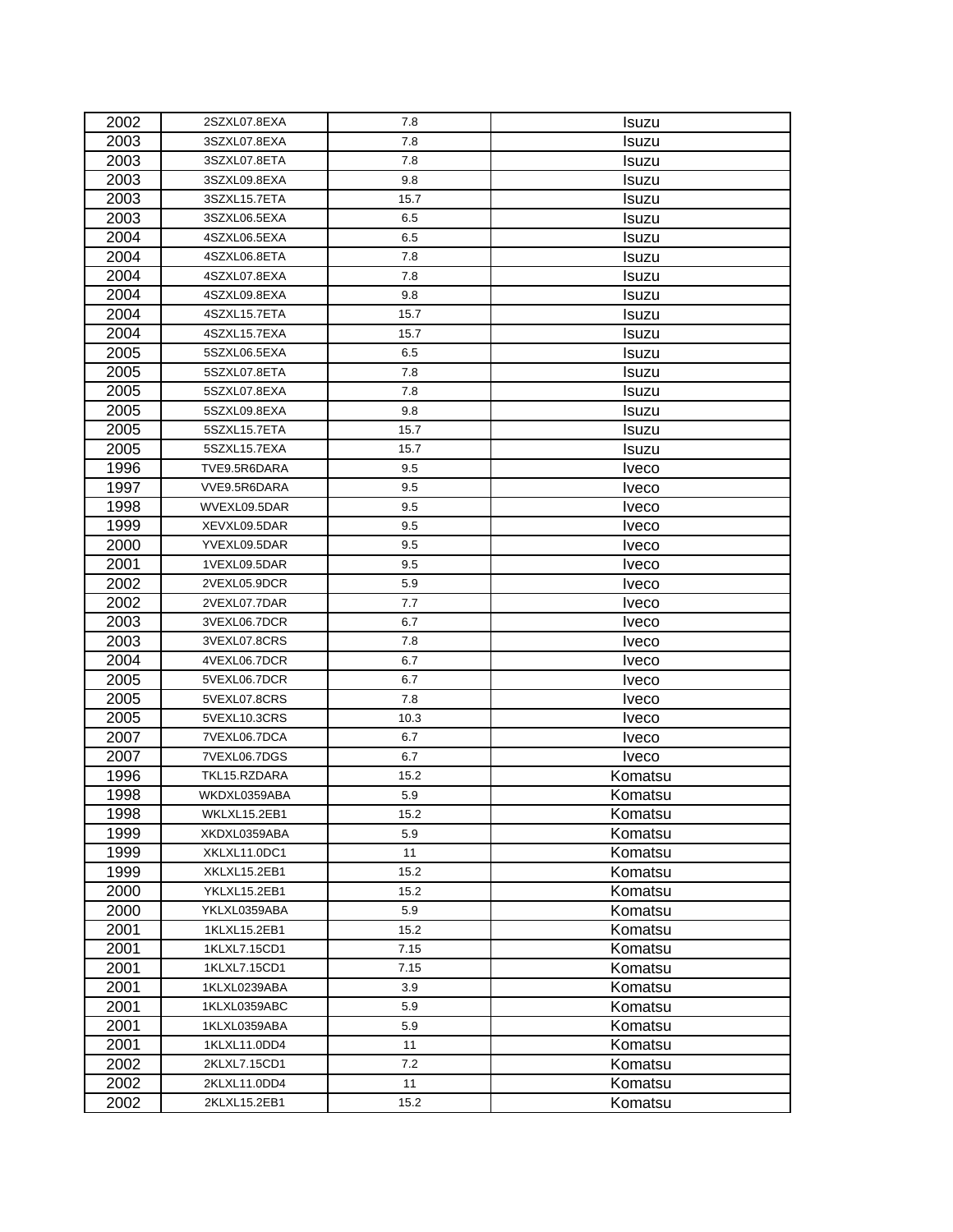| 2002 | 2SZXL07.8EXA | 7.8  | Isuzu        |
|------|--------------|------|--------------|
| 2003 | 3SZXL07.8EXA | 7.8  | Isuzu        |
| 2003 | 3SZXL07.8ETA | 7.8  | Isuzu        |
| 2003 | 3SZXL09.8EXA | 9.8  | Isuzu        |
| 2003 | 3SZXL15.7ETA | 15.7 | Isuzu        |
| 2003 | 3SZXL06.5EXA | 6.5  | Isuzu        |
| 2004 | 4SZXL06.5EXA | 6.5  | Isuzu        |
| 2004 | 4SZXL06.8ETA | 7.8  | Isuzu        |
| 2004 | 4SZXL07.8EXA | 7.8  | Isuzu        |
| 2004 | 4SZXL09.8EXA | 9.8  | Isuzu        |
| 2004 | 4SZXL15.7ETA | 15.7 | Isuzu        |
| 2004 | 4SZXL15.7EXA | 15.7 | Isuzu        |
| 2005 | 5SZXL06.5EXA | 6.5  | Isuzu        |
| 2005 | 5SZXL07.8ETA | 7.8  | Isuzu        |
| 2005 | 5SZXL07.8EXA | 7.8  | Isuzu        |
| 2005 | 5SZXL09.8EXA | 9.8  | Isuzu        |
| 2005 | 5SZXL15.7ETA | 15.7 | Isuzu        |
| 2005 | 5SZXL15.7EXA | 15.7 | Isuzu        |
| 1996 | TVE9.5R6DARA | 9.5  | Iveco        |
| 1997 | VVE9.5R6DARA | 9.5  | Iveco        |
| 1998 | WVEXL09.5DAR | 9.5  | Iveco        |
| 1999 | XEVXL09.5DAR | 9.5  | Iveco        |
| 2000 | YVEXL09.5DAR | 9.5  | Iveco        |
| 2001 | 1VEXL09.5DAR | 9.5  | Iveco        |
| 2002 | 2VEXL05.9DCR | 5.9  | <b>Iveco</b> |
| 2002 | 2VEXL07.7DAR | 7.7  | <b>Iveco</b> |
| 2003 | 3VEXL06.7DCR | 6.7  | Iveco        |
| 2003 | 3VEXL07.8CRS | 7.8  | Iveco        |
| 2004 | 4VEXL06.7DCR | 6.7  | Iveco        |
| 2005 | 5VEXL06.7DCR | 6.7  | <b>Iveco</b> |
| 2005 | 5VEXL07.8CRS | 7.8  | <b>Iveco</b> |
| 2005 | 5VEXL10.3CRS | 10.3 | <b>Iveco</b> |
| 2007 | 7VEXL06.7DCA | 6.7  | Iveco        |
| 2007 | 7VEXL06.7DGS | 6.7  | <b>Iveco</b> |
| 1996 | TKL15.RZDARA | 15.2 | Komatsu      |
| 1998 | WKDXL0359ABA | 5.9  | Komatsu      |
| 1998 | WKLXL15.2EB1 | 15.2 | Komatsu      |
| 1999 | XKDXL0359ABA | 5.9  | Komatsu      |
| 1999 | XKLXL11.0DC1 | 11   | Komatsu      |
| 1999 | XKLXL15.2EB1 | 15.2 | Komatsu      |
| 2000 | YKLXL15.2EB1 | 15.2 | Komatsu      |
| 2000 | YKLXL0359ABA | 5.9  | Komatsu      |
| 2001 | 1KLXL15.2EB1 | 15.2 | Komatsu      |
| 2001 | 1KLXL7.15CD1 | 7.15 | Komatsu      |
| 2001 | 1KLXL7.15CD1 | 7.15 | Komatsu      |
| 2001 | 1KLXL0239ABA | 3.9  | Komatsu      |
| 2001 | 1KLXL0359ABC | 5.9  | Komatsu      |
| 2001 | 1KLXL0359ABA | 5.9  | Komatsu      |
| 2001 | 1KLXL11.0DD4 | 11   | Komatsu      |
| 2002 | 2KLXL7.15CD1 | 7.2  | Komatsu      |
| 2002 | 2KLXL11.0DD4 | 11   | Komatsu      |
| 2002 | 2KLXL15.2EB1 | 15.2 | Komatsu      |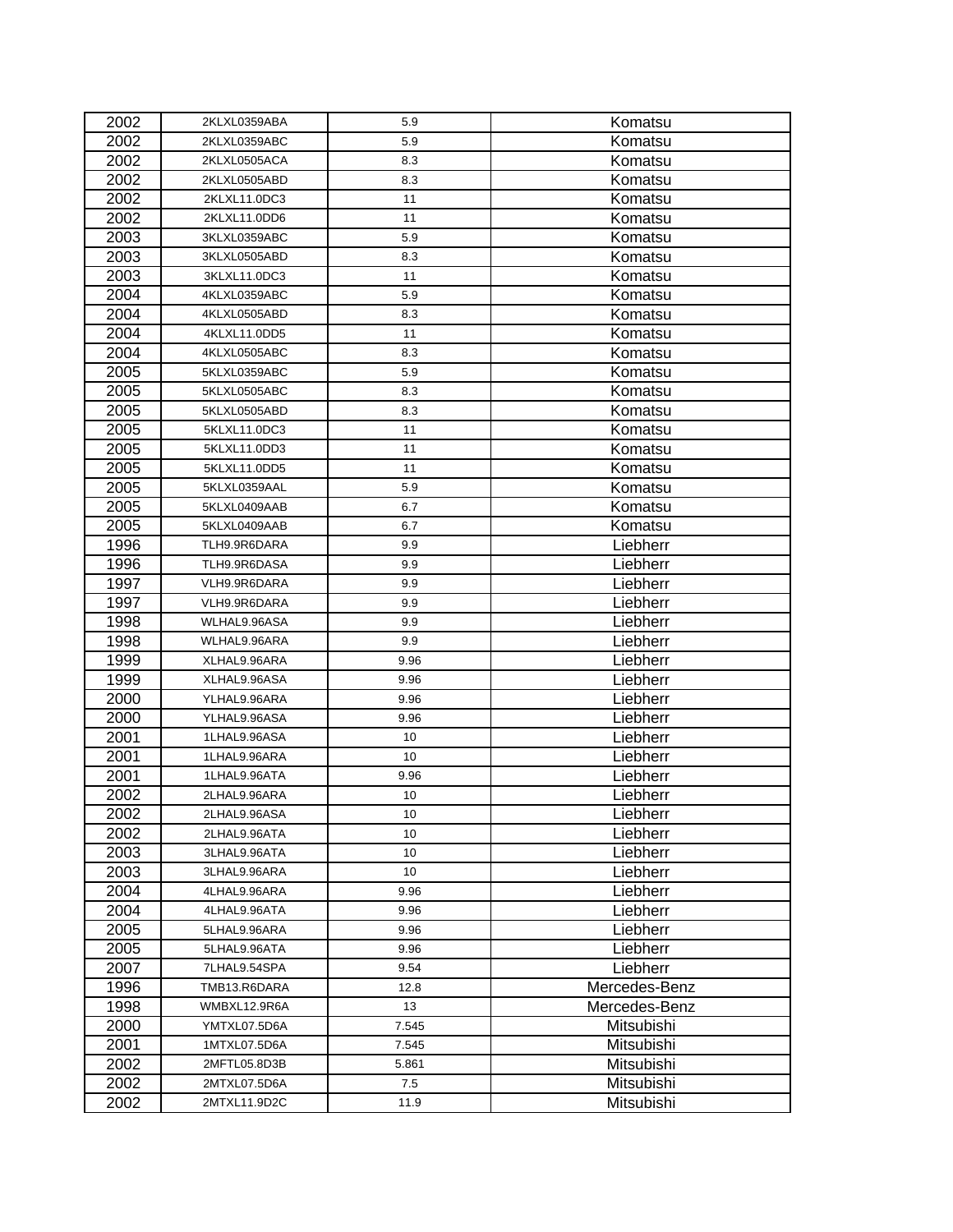| 2002 | 2KLXL0359ABA | 5.9   | Komatsu       |
|------|--------------|-------|---------------|
| 2002 | 2KLXL0359ABC | 5.9   | Komatsu       |
| 2002 | 2KLXL0505ACA | 8.3   | Komatsu       |
| 2002 | 2KLXL0505ABD | 8.3   | Komatsu       |
| 2002 | 2KLXL11.0DC3 | 11    | Komatsu       |
| 2002 | 2KLXL11.0DD6 | 11    | Komatsu       |
| 2003 | 3KLXL0359ABC | 5.9   | Komatsu       |
| 2003 | 3KLXL0505ABD | 8.3   | Komatsu       |
| 2003 | 3KLXL11.0DC3 | 11    | Komatsu       |
| 2004 | 4KLXL0359ABC | 5.9   | Komatsu       |
| 2004 | 4KLXL0505ABD | 8.3   | Komatsu       |
| 2004 | 4KLXL11.0DD5 | 11    | Komatsu       |
| 2004 | 4KLXL0505ABC | 8.3   | Komatsu       |
| 2005 | 5KLXL0359ABC | 5.9   | Komatsu       |
| 2005 | 5KLXL0505ABC | 8.3   | Komatsu       |
| 2005 | 5KLXL0505ABD | 8.3   | Komatsu       |
| 2005 | 5KLXL11.0DC3 | 11    | Komatsu       |
| 2005 | 5KLXL11.0DD3 | 11    | Komatsu       |
| 2005 | 5KLXL11.0DD5 | 11    | Komatsu       |
| 2005 | 5KLXL0359AAL | 5.9   | Komatsu       |
| 2005 | 5KLXL0409AAB | 6.7   | Komatsu       |
| 2005 | 5KLXL0409AAB | 6.7   | Komatsu       |
| 1996 | TLH9.9R6DARA | 9.9   | Liebherr      |
| 1996 | TLH9.9R6DASA | 9.9   | Liebherr      |
| 1997 | VLH9.9R6DARA | 9.9   | Liebherr      |
| 1997 | VLH9.9R6DARA | 9.9   | Liebherr      |
| 1998 | WLHAL9.96ASA | 9.9   | Liebherr      |
| 1998 | WLHAL9.96ARA | 9.9   | Liebherr      |
| 1999 | XLHAL9.96ARA | 9.96  | Liebherr      |
| 1999 | XLHAL9.96ASA | 9.96  | Liebherr      |
| 2000 | YLHAL9.96ARA | 9.96  | Liebherr      |
| 2000 | YLHAL9.96ASA | 9.96  | Liebherr      |
| 2001 | 1LHAL9.96ASA | 10    | Liebherr      |
| 2001 | 1LHAL9.96ARA | 10    | Liebherr      |
| 2001 | 1LHAL9.96ATA | 9.96  | Liebherr      |
| 2002 | 2LHAL9.96ARA | 10    | Liebherr      |
| 2002 | 2LHAL9.96ASA | 10    | Liebherr      |
| 2002 | 2LHAL9.96ATA | 10    | Liebherr      |
| 2003 | 3LHAL9.96ATA | 10    | Liebherr      |
| 2003 | 3LHAL9.96ARA | 10    | Liebherr      |
| 2004 | 4LHAL9.96ARA | 9.96  | Liebherr      |
| 2004 | 4LHAL9.96ATA | 9.96  | Liebherr      |
| 2005 | 5LHAL9.96ARA | 9.96  | Liebherr      |
| 2005 | 5LHAL9.96ATA | 9.96  | Liebherr      |
| 2007 | 7LHAL9.54SPA | 9.54  | Liebherr      |
| 1996 | TMB13.R6DARA | 12.8  | Mercedes-Benz |
| 1998 | WMBXL12.9R6A | 13    | Mercedes-Benz |
| 2000 | YMTXL07.5D6A | 7.545 | Mitsubishi    |
| 2001 | 1MTXL07.5D6A | 7.545 | Mitsubishi    |
| 2002 | 2MFTL05.8D3B | 5.861 | Mitsubishi    |
| 2002 | 2MTXL07.5D6A | 7.5   | Mitsubishi    |
| 2002 | 2MTXL11.9D2C | 11.9  | Mitsubishi    |
|      |              |       |               |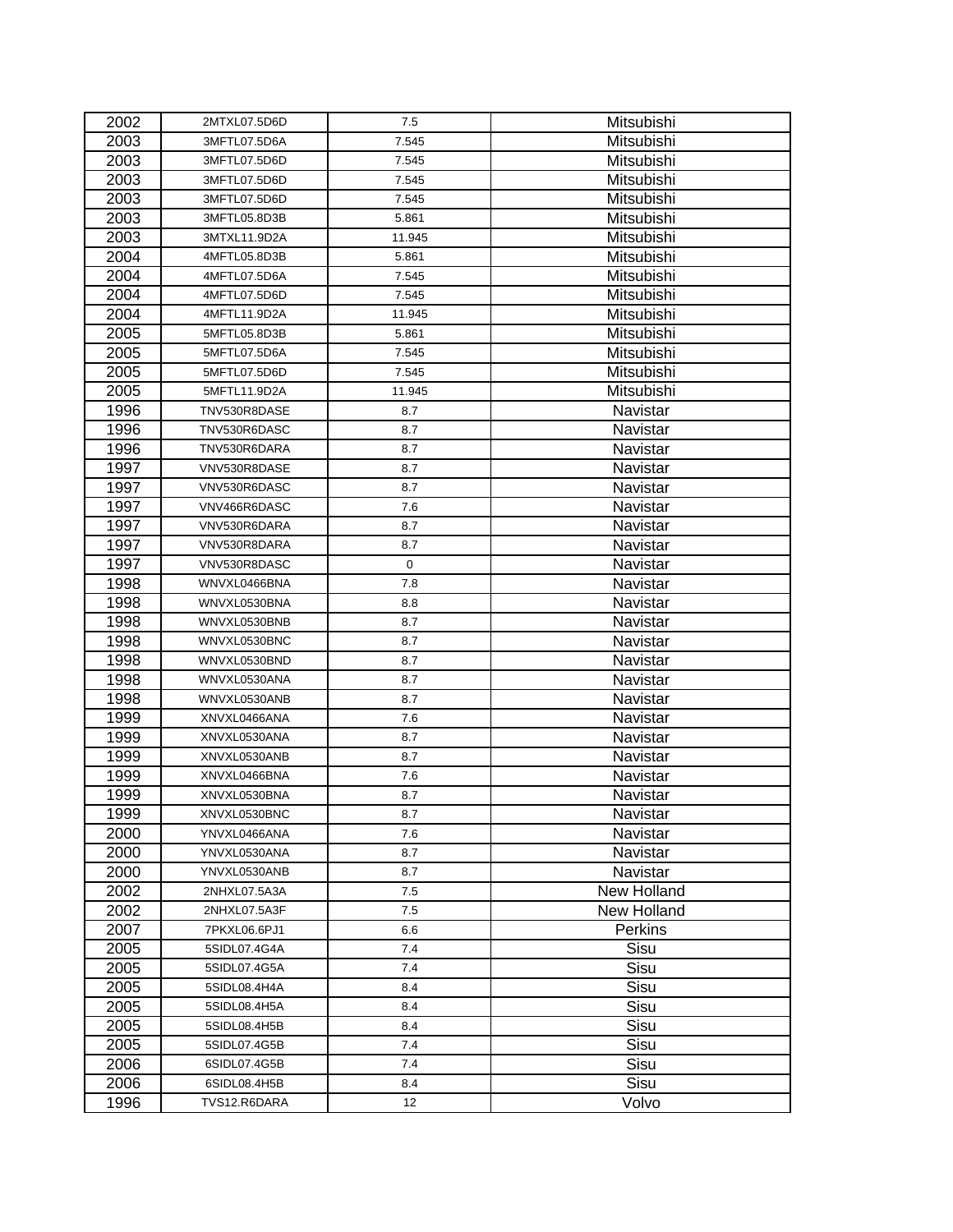| 2002 | 2MTXL07.5D6D | 7.5         | Mitsubishi  |
|------|--------------|-------------|-------------|
| 2003 | 3MFTL07.5D6A | 7.545       | Mitsubishi  |
| 2003 | 3MFTL07.5D6D | 7.545       | Mitsubishi  |
| 2003 | 3MFTL07.5D6D | 7.545       | Mitsubishi  |
| 2003 | 3MFTL07.5D6D | 7.545       | Mitsubishi  |
| 2003 | 3MFTL05.8D3B | 5.861       | Mitsubishi  |
| 2003 | 3MTXL11.9D2A | 11.945      | Mitsubishi  |
| 2004 | 4MFTL05.8D3B | 5.861       | Mitsubishi  |
| 2004 | 4MFTL07.5D6A | 7.545       | Mitsubishi  |
| 2004 | 4MFTL07.5D6D | 7.545       | Mitsubishi  |
| 2004 | 4MFTL11.9D2A | 11.945      | Mitsubishi  |
| 2005 | 5MFTL05.8D3B | 5.861       | Mitsubishi  |
| 2005 | 5MFTL07.5D6A | 7.545       | Mitsubishi  |
| 2005 | 5MFTL07.5D6D | 7.545       | Mitsubishi  |
| 2005 | 5MFTL11.9D2A | 11.945      | Mitsubishi  |
| 1996 | TNV530R8DASE | 8.7         | Navistar    |
| 1996 | TNV530R6DASC | 8.7         | Navistar    |
| 1996 | TNV530R6DARA | 8.7         | Navistar    |
| 1997 | VNV530R8DASE | 8.7         | Navistar    |
| 1997 | VNV530R6DASC | 8.7         | Navistar    |
| 1997 | VNV466R6DASC | 7.6         | Navistar    |
| 1997 | VNV530R6DARA | 8.7         | Navistar    |
| 1997 | VNV530R8DARA | 8.7         | Navistar    |
| 1997 | VNV530R8DASC | $\mathbf 0$ | Navistar    |
| 1998 | WNVXL0466BNA | 7.8         | Navistar    |
| 1998 | WNVXL0530BNA | 8.8         | Navistar    |
| 1998 | WNVXL0530BNB | 8.7         | Navistar    |
| 1998 | WNVXL0530BNC | 8.7         | Navistar    |
| 1998 | WNVXL0530BND | 8.7         | Navistar    |
| 1998 | WNVXL0530ANA | 8.7         | Navistar    |
| 1998 | WNVXL0530ANB | 8.7         | Navistar    |
| 1999 | XNVXL0466ANA | 7.6         | Navistar    |
| 1999 | XNVXL0530ANA | 8.7         | Navistar    |
| 1999 | XNVXL0530ANB | 8.7         | Navistar    |
| 1999 | XNVXL0466BNA | 7.6         | Navistar    |
| 1999 | XNVXL0530BNA | 8.7         | Navistar    |
| 1999 | XNVXL0530BNC | 8.7         | Navistar    |
| 2000 | YNVXL0466ANA | 7.6         | Navistar    |
| 2000 | YNVXL0530ANA | 8.7         | Navistar    |
| 2000 | YNVXL0530ANB | 8.7         | Navistar    |
| 2002 | 2NHXL07.5A3A | 7.5         | New Holland |
| 2002 | 2NHXL07.5A3F | 7.5         | New Holland |
| 2007 | 7PKXL06.6PJ1 | 6.6         | Perkins     |
| 2005 | 5SIDL07.4G4A | 7.4         | Sisu        |
| 2005 | 5SIDL07.4G5A | 7.4         | Sisu        |
| 2005 | 5SIDL08.4H4A | 8.4         | Sisu        |
| 2005 | 5SIDL08.4H5A | 8.4         | Sisu        |
| 2005 | 5SIDL08.4H5B | 8.4         | Sisu        |
| 2005 | 5SIDL07.4G5B | 7.4         | Sisu        |
| 2006 | 6SIDL07.4G5B | 7.4         | Sisu        |
| 2006 | 6SIDL08.4H5B | 8.4         | Sisu        |
| 1996 | TVS12.R6DARA | 12          | Volvo       |